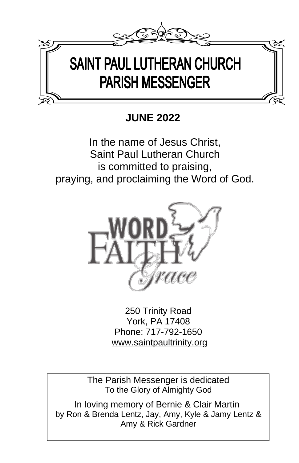

# **JUNE 2022**

In the name of Jesus Christ, Saint Paul Lutheran Church is committed to praising, praying, and proclaiming the Word of God.



250 Trinity Road York, PA 17408 Phone: 717-792-1650 [www.saintpaultrinity.org](http://www.saintpaultrinity.org/)

The Parish Messenger is dedicated To the Glory of Almighty God

 In loving memory of Bernie & Clair Martin by Ron & Brenda Lentz, Jay, Amy, Kyle & Jamy Lentz & Amy & Rick Gardner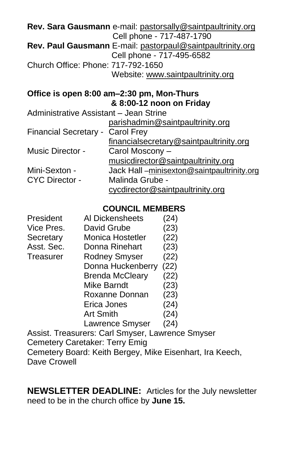|                                        | Rev. Sara Gausmann e-mail: pastorsally@saintpaultrinity.org |
|----------------------------------------|-------------------------------------------------------------|
|                                        | Cell phone - 717-487-1790                                   |
|                                        | Rev. Paul Gausmann E-mail: pastorpaul@saintpaultrinity.org  |
|                                        | Cell phone - 717-495-6582                                   |
| Church Office: Phone: 717-792-1650     |                                                             |
|                                        | Website: www.saintpaultrinity.org                           |
|                                        | Office is open 8:00 am-2:30 pm, Mon-Thurs                   |
|                                        | & 8:00-12 noon on Friday                                    |
| Administrative Assistant - Jean Strine |                                                             |
|                                        | parishadmin@saintpaultrinity.org                            |

|                                  | pansnagninnessaintpaulunnuv.org           |
|----------------------------------|-------------------------------------------|
| Financial Secretary - Carol Frey |                                           |
|                                  | financialsecretary@saintpaultrinity.org   |
| Music Director -                 | Carol Moscony -                           |
|                                  | musicdirector@saintpaultrinity.org        |
| Mini-Sexton -                    | Jack Hall-minisexton@saintpaultrinity.org |
| <b>CYC Director -</b>            | Malinda Grube -                           |
|                                  | cycdirector@saintpaultrinity.org          |

## **COUNCIL MEMBERS**

| President  | Al Dickensheets                | (24)           |
|------------|--------------------------------|----------------|
| Vice Pres. | David Grube                    | (23)           |
| Secretary  | Monica Hostetler               | (22)           |
| Asst. Sec. | Donna Rinehart                 | (23)           |
| Treasurer  | <b>Rodney Smyser</b>           | (22)           |
|            | Donna Huckenberry              | (22)           |
|            | <b>Brenda McCleary</b>         | (22)           |
|            | Mike Barndt                    | (23)           |
|            | Roxanne Donnan                 | (23)           |
|            | Erica Jones                    | (24)           |
|            | <b>Art Smith</b>               | (24)           |
|            | Lawrence Smyser                | (24)           |
|            | Acciot Troncurare: Carl Smusor | $\alpha$ urono |

Assist. Treasurers: Carl Smyser, Lawrence Smyser Cemetery Caretaker: Terry Emig Cemetery Board: Keith Bergey, Mike Eisenhart, Ira Keech, Dave Crowell

**NEWSLETTER DEADLINE:** Articles for the July newsletter need to be in the church office by **June 15.**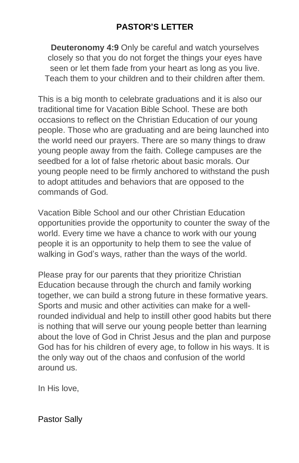## **PASTOR'S LETTER**

**Deuteronomy 4:9** Only be careful and watch yourselves closely so that you do not forget the things your eyes have seen or let them fade from your heart as long as you live. Teach them to your children and to their children after them.

This is a big month to celebrate graduations and it is also our traditional time for Vacation Bible School. These are both occasions to reflect on the Christian Education of our young people. Those who are graduating and are being launched into the world need our prayers. There are so many things to draw young people away from the faith. College campuses are the seedbed for a lot of false rhetoric about basic morals. Our young people need to be firmly anchored to withstand the push to adopt attitudes and behaviors that are opposed to the commands of God.

Vacation Bible School and our other Christian Education opportunities provide the opportunity to counter the sway of the world. Every time we have a chance to work with our young people it is an opportunity to help them to see the value of walking in God's ways, rather than the ways of the world.

Please pray for our parents that they prioritize Christian Education because through the church and family working together, we can build a strong future in these formative years. Sports and music and other activities can make for a wellrounded individual and help to instill other good habits but there is nothing that will serve our young people better than learning about the love of God in Christ Jesus and the plan and purpose God has for his children of every age, to follow in his ways. It is the only way out of the chaos and confusion of the world around us.

In His love,

Pastor Sally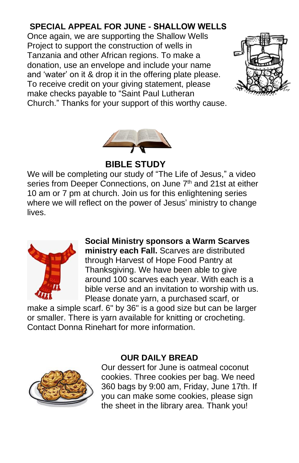## **SPECIAL APPEAL FOR JUNE - SHALLOW WELLS**

Once again, we are supporting the Shallow Wells Project to support the construction of wells in Tanzania and other African regions. To make a donation, use an envelope and include your name and 'water' on it & drop it in the offering plate please. To receive credit on your giving statement, please make checks payable to "Saint Paul Lutheran Church." Thanks for your support of this worthy cause.





 **BIBLE STUDY**

We will be completing our study of "The Life of Jesus," a video series from Deeper Connections, on June 7<sup>th</sup> and 21st at either 10 am or 7 pm at church. Join us for this enlightening series where we will reflect on the power of Jesus' ministry to change lives.



**Social Ministry sponsors a Warm Scarves ministry each Fall.** Scarves are distributed through Harvest of Hope Food Pantry at Thanksgiving. We have been able to give around 100 scarves each year. With each is a bible verse and an invitation to worship with us. Please donate yarn, a purchased scarf, or

make a simple scarf. 6" by 36" is a good size but can be larger or smaller. There is yarn available for knitting or crocheting. Contact Donna Rinehart for more information.



## **OUR DAILY BREAD**

Our dessert for June is oatmeal coconut cookies. Three cookies per bag. We need 360 bags by 9:00 am, Friday, June 17th. If you can make some cookies, please sign the sheet in the library area. Thank you!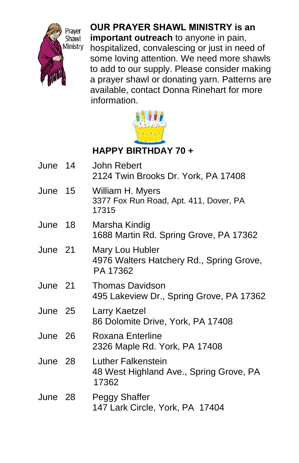

**OUR PRAYER SHAWL MINISTRY is an important outreach** to anyone in pain, hospitalized, convalescing or just in need of some loving attention. We need more shawls to add to our supply. Please consider making a prayer shawl or donating yarn. Patterns are available, contact Donna Rinehart for more information.



## **HAPPY BIRTHDAY 70 +**

| June 14 | <b>John Rebert</b>                                                            |
|---------|-------------------------------------------------------------------------------|
|         | 2124 Twin Brooks Dr. York, PA 17408                                           |
| June 15 | William H. Myers<br>3377 Fox Run Road, Apt. 411, Dover, PA<br>17315           |
| June 18 | Marsha Kindig<br>1688 Martin Rd. Spring Grove, PA 17362                       |
| June 21 | Mary Lou Hubler<br>4976 Walters Hatchery Rd., Spring Grove,<br>PA 17362       |
| June 21 | <b>Thomas Davidson</b><br>495 Lakeview Dr., Spring Grove, PA 17362            |
| June 25 | Larry Kaetzel<br>86 Dolomite Drive, York, PA 17408                            |
| June 26 | Roxana Enterline<br>2326 Maple Rd. York, PA 17408                             |
| June 28 | <b>Luther Falkenstein</b><br>48 West Highland Ave., Spring Grove, PA<br>17362 |
| June 28 | Peggy Shaffer<br>147 Lark Circle, York, PA 17404                              |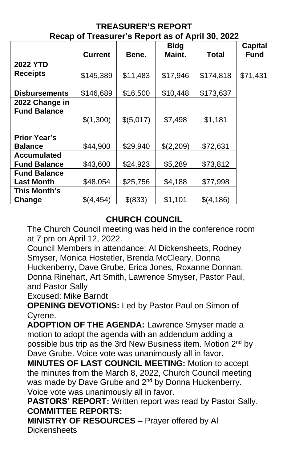| 1100ap 01 110a0aror 0 110port ao 01 April 00, 2022 |                |           |                       |              |                        |  |  |
|----------------------------------------------------|----------------|-----------|-----------------------|--------------|------------------------|--|--|
|                                                    | <b>Current</b> | Bene.     | <b>Bldg</b><br>Maint. | <b>Total</b> | <b>Capital</b><br>Fund |  |  |
|                                                    |                |           |                       |              |                        |  |  |
| <b>2022 YTD</b>                                    |                |           |                       |              |                        |  |  |
| <b>Receipts</b>                                    | \$145,389      | \$11,483  | \$17,946              | \$174,818    | \$71,431               |  |  |
|                                                    |                |           |                       |              |                        |  |  |
| <b>Disbursements</b>                               | \$146,689      | \$16,500  | \$10,448              | \$173,637    |                        |  |  |
| 2022 Change in                                     |                |           |                       |              |                        |  |  |
| <b>Fund Balance</b>                                |                |           |                       |              |                        |  |  |
|                                                    | \$(1,300)      | \$(5,017) | \$7,498               | \$1,181      |                        |  |  |
|                                                    |                |           |                       |              |                        |  |  |
| <b>Prior Year's</b>                                |                |           |                       |              |                        |  |  |
| <b>Balance</b>                                     | \$44,900       | \$29,940  | \$(2,209)             | \$72,631     |                        |  |  |
| Accumulated                                        |                |           |                       |              |                        |  |  |
| <b>Fund Balance</b>                                | \$43,600       | \$24,923  | \$5,289               | \$73,812     |                        |  |  |
| <b>Fund Balance</b>                                |                |           |                       |              |                        |  |  |
| <b>Last Month</b>                                  | \$48,054       | \$25,756  | \$4,188               | \$77,998     |                        |  |  |
| This Month's                                       |                |           |                       |              |                        |  |  |
| Change                                             | \$(4,454)      | \$(833)   | \$1,101               | \$(4, 186)   |                        |  |  |

#### **TREASURER'S REPORT Recap of Treasurer's Report as of April 30, 2022**

# **CHURCH COUNCIL**

The Church Council meeting was held in the conference room at 7 pm on April 12, 2022.

Council Members in attendance: Al Dickensheets, Rodney Smyser, Monica Hostetler, Brenda McCleary, Donna Huckenberry, Dave Grube, Erica Jones, Roxanne Donnan, Donna Rinehart, Art Smith, Lawrence Smyser, Pastor Paul, and Pastor Sally

Excused: Mike Barndt

**OPENING DEVOTIONS:** Led by Pastor Paul on Simon of Cyrene.

**ADOPTION OF THE AGENDA:** Lawrence Smyser made a motion to adopt the agenda with an addendum adding a possible bus trip as the 3rd New Business item. Motion 2<sup>nd</sup> by Dave Grube. Voice vote was unanimously all in favor.

**MINUTES OF LAST COUNCIL MEETING:** Motion to accept the minutes from the March 8, 2022, Church Council meeting was made by Dave Grube and 2<sup>nd</sup> by Donna Huckenberry. Voice vote was unanimously all in favor.

**PASTORS' REPORT:** Written report was read by Pastor Sally. **COMMITTEE REPORTS:**

**MINISTRY OF RESOURCES** – Prayer offered by Al **Dickensheets**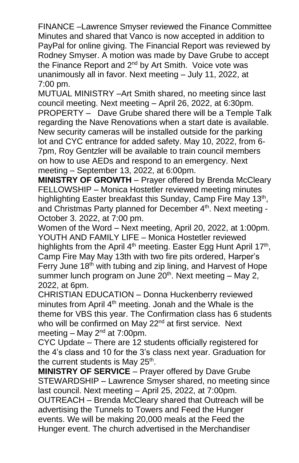FINANCE –Lawrence Smyser reviewed the Finance Committee Minutes and shared that Vanco is now accepted in addition to PayPal for online giving. The Financial Report was reviewed by Rodney Smyser. A motion was made by Dave Grube to accept the Finance Report and 2<sup>nd</sup> by Art Smith. Voice vote was unanimously all in favor. Next meeting – July 11, 2022, at 7:00 pm.

MUTUAL MINISTRY –Art Smith shared, no meeting since last council meeting. Next meeting – April 26, 2022, at 6:30pm. PROPERTY – Dave Grube shared there will be a Temple Talk regarding the Nave Renovations when a start date is available. New security cameras will be installed outside for the parking lot and CYC entrance for added safety. May 10, 2022, from 6- 7pm, Roy Gentzler will be available to train council members on how to use AEDs and respond to an emergency. Next meeting – September 13, 2022, at 6:00pm.

**MINISTRY OF GROWTH** – Prayer offered by Brenda McCleary FELLOWSHIP – Monica Hostetler reviewed meeting minutes highlighting Easter breakfast this Sunday, Camp Fire May 13<sup>th</sup>, and Christmas Party planned for December 4<sup>th</sup>. Next meeting -October 3. 2022, at 7:00 pm.

Women of the Word – Next meeting, April 20, 2022, at 1:00pm. YOUTH AND FAMILY LIFE – Monica Hostetler reviewed highlights from the April 4<sup>th</sup> meeting. Easter Egg Hunt April 17<sup>th</sup>, Camp Fire May May 13th with two fire pits ordered, Harper's Ferry June  $18<sup>th</sup>$  with tubing and zip lining, and Harvest of Hope summer lunch program on June 20<sup>th</sup>. Next meeting - May 2, 2022, at 6pm.

CHRISTIAN EDUCATION – Donna Huckenberry reviewed minutes from April 4<sup>th</sup> meeting. Jonah and the Whale is the theme for VBS this year. The Confirmation class has 6 students who will be confirmed on May 22<sup>nd</sup> at first service. Next meeting – May  $2^{nd}$  at 7:00pm.

CYC Update – There are 12 students officially registered for the 4's class and 10 for the 3's class next year. Graduation for the current students is May 25<sup>th</sup>.

**MINISTRY OF SERVICE** – Prayer offered by Dave Grube STEWARDSHIP – Lawrence Smyser shared, no meeting since last council. Next meeting – April 25, 2022, at 7:00pm. OUTREACH – Brenda McCleary shared that Outreach will be advertising the Tunnels to Towers and Feed the Hunger events. We will be making 20,000 meals at the Feed the Hunger event. The church advertised in the Merchandiser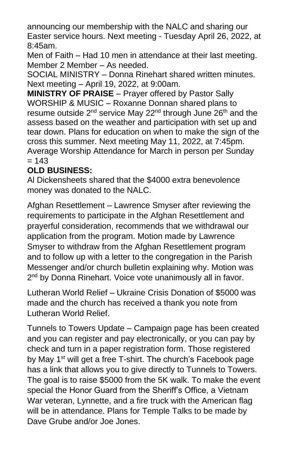announcing our membership with the NALC and sharing our Easter service hours. Next meeting - Tuesday April 26, 2022, at 8:45am.

Men of Faith – Had 10 men in attendance at their last meeting. Member 2 Member – As needed.

SOCIAL MINISTRY – Donna Rinehart shared written minutes. Next meeting – April 19, 2022, at 9:00am.

**MINISTRY OF PRAISE** – Prayer offered by Pastor Sally WORSHIP & MUSIC – Roxanne Donnan shared plans to resume outside  $2^{nd}$  service May  $22^{nd}$  through June  $26<sup>th</sup>$  and the assess based on the weather and participation with set up and tear down. Plans for education on when to make the sign of the cross this summer. Next meeting May 11, 2022, at 7:45pm. Average Worship Attendance for March in person per Sunday  $= 143$ 

## **OLD BUSINESS:**

Al Dickensheets shared that the \$4000 extra benevolence money was donated to the NALC.

Afghan Resettlement – Lawrence Smyser after reviewing the requirements to participate in the Afghan Resettlement and prayerful consideration, recommends that we withdrawal our application from the program. Motion made by Lawrence Smyser to withdraw from the Afghan Resettlement program and to follow up with a letter to the congregation in the Parish Messenger and/or church bulletin explaining why. Motion was 2<sup>nd</sup> by Donna Rinehart. Voice vote unanimously all in favor.

Lutheran World Relief – Ukraine Crisis Donation of \$5000 was made and the church has received a thank you note from Lutheran World Relief.

Tunnels to Towers Update – Campaign page has been created and you can register and pay electronically, or you can pay by check and turn in a paper registration form. Those registered by May 1<sup>st</sup> will get a free T-shirt. The church's Facebook page has a link that allows you to give directly to Tunnels to Towers. The goal is to raise \$5000 from the 5K walk. To make the event special the Honor Guard from the Sheriff's Office, a Vietnam War veteran, Lynnette, and a fire truck with the American flag will be in attendance. Plans for Temple Talks to be made by Dave Grube and/or Joe Jones.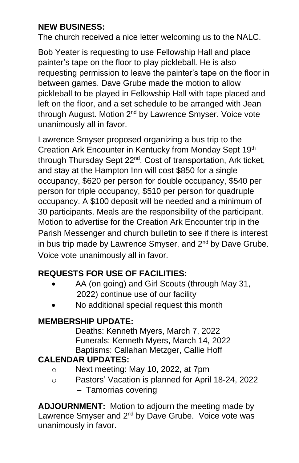## **NEW BUSINESS:**

The church received a nice letter welcoming us to the NALC.

Bob Yeater is requesting to use Fellowship Hall and place painter's tape on the floor to play pickleball. He is also requesting permission to leave the painter's tape on the floor in between games. Dave Grube made the motion to allow pickleball to be played in Fellowship Hall with tape placed and left on the floor, and a set schedule to be arranged with Jean through August. Motion 2<sup>nd</sup> by Lawrence Smyser. Voice vote unanimously all in favor.

Lawrence Smyser proposed organizing a bus trip to the Creation Ark Encounter in Kentucky from Monday Sept 19th through Thursday Sept 22<sup>nd</sup>. Cost of transportation, Ark ticket, and stay at the Hampton Inn will cost \$850 for a single occupancy, \$620 per person for double occupancy, \$540 per person for triple occupancy, \$510 per person for quadruple occupancy. A \$100 deposit will be needed and a minimum of 30 participants. Meals are the responsibility of the participant. Motion to advertise for the Creation Ark Encounter trip in the Parish Messenger and church bulletin to see if there is interest in bus trip made by Lawrence Smyser, and  $2<sup>nd</sup>$  by Dave Grube. Voice vote unanimously all in favor.

## **REQUESTS FOR USE OF FACILITIES:**

- AA (on going) and Girl Scouts (through May 31, 2022) continue use of our facility
- No additional special request this month

## **MEMBERSHIP UPDATE:**

Deaths: Kenneth Myers, March 7, 2022 Funerals: Kenneth Myers, March 14, 2022 Baptisms: Callahan Metzger, Callie Hoff

## **CALENDAR UPDATES:**

- o Next meeting: May 10, 2022, at 7pm
- o Pastors' Vacation is planned for April 18-24, 2022 – Tamorrias covering

**ADJOURNMENT:** Motion to adjourn the meeting made by Lawrence Smyser and 2<sup>nd</sup> by Dave Grube. Voice vote was unanimously in favor.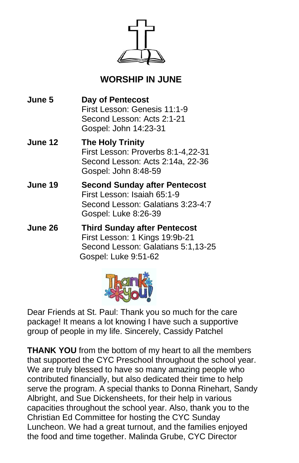

# **WORSHIP IN JUNE**

**June 5 Day of Pentecost**  First Lesson: Genesis 11:1-9 Second Lesson: Acts 2:1-21 Gospel: John 14:23-31

- **June 12 The Holy Trinity**  First Lesson: Proverbs 8:1-4,22-31 Second Lesson: Acts 2:14a, 22-36 Gospel: John 8:48-59
- **June 19 Second Sunday after Pentecost**  First Lesson: Isaiah 65:1-9 Second Lesson: Galatians 3:23-4:7 Gospel: Luke 8:26-39
- **June 26 Third Sunday after Pentecost**  First Lesson: 1 Kings 19:9b-21 Second Lesson: Galatians 5:1,13-25 Gospel: Luke 9:51-62



Dear Friends at St. Paul: Thank you so much for the care package! It means a lot knowing I have such a supportive group of people in my life. Sincerely, Cassidy Patchel

**THANK YOU** from the bottom of my heart to all the members that supported the CYC Preschool throughout the school year. We are truly blessed to have so many amazing people who contributed financially, but also dedicated their time to help serve the program. A special thanks to Donna Rinehart, Sandy Albright, and Sue Dickensheets, for their help in various capacities throughout the school year. Also, thank you to the Christian Ed Committee for hosting the CYC Sunday Luncheon. We had a great turnout, and the families enjoyed the food and time together. Malinda Grube, CYC Director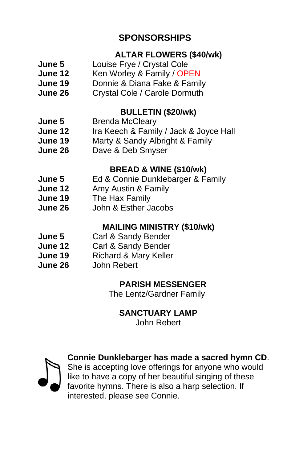## **SPONSORSHIPS**

## **ALTAR FLOWERS (\$40/wk)**

- **June 5** Louise Frye / Crystal Cole
- **June 12** Ken Worley & Family / OPEN
- **June 19** Donnie & Diana Fake & Family
- **June 26** Crystal Cole / Carole Dormuth

#### **BULLETIN (\$20/wk)**

- **June 5** Brenda McCleary
- **June 12** Ira Keech & Family / Jack & Joyce Hall
- **June 19** Marty & Sandy Albright & Family
- **June 26** Dave & Deb Smyser

#### **BREAD & WINE (\$10/wk)**

- **June 5** Ed & Connie Dunklebarger & Family
- **June 12** Amy Austin & Family
- **June 19** The Hax Family
- **June 26** John & Esther Jacobs

#### **MAILING MINISTRY (\$10/wk)**

- **June 5** Carl & Sandy Bender
- **June 12** Carl & Sandy Bender
- **June 19** Richard & Mary Keller
- **June 26** John Rebert

#### **PARISH MESSENGER**

The Lentz/Gardner Family

#### **SANCTUARY LAMP**

John Rebert



**Connie Dunklebarger has made a sacred hymn CD**.

She is accepting love offerings for anyone who would like to have a copy of her beautiful singing of these favorite hymns. There is also a harp selection. If interested, please see Connie.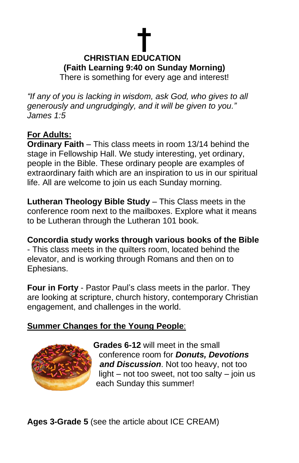# **† CHRISTIAN EDUCATION (Faith Learning 9:40 on Sunday Morning)** There is something for every age and interest!

*"If any of you is lacking in wisdom, ask God, who gives to all generously and ungrudgingly, and it will be given to you." James 1:5*

## **For Adults:**

**Ordinary Faith** – This class meets in room 13/14 behind the stage in Fellowship Hall. We study interesting, yet ordinary, people in the Bible. These ordinary people are examples of extraordinary faith which are an inspiration to us in our spiritual life. All are welcome to join us each Sunday morning.

**Lutheran Theology Bible Study** – This Class meets in the conference room next to the mailboxes. Explore what it means to be Lutheran through the Lutheran 101 book.

**Concordia study works through various books of the Bible** - This class meets in the quilters room, located behind the elevator, and is working through Romans and then on to Ephesians.

**Four in Forty** - Pastor Paul's class meets in the parlor. They are looking at scripture, church history, contemporary Christian engagement, and challenges in the world.

## **Summer Changes for the Young People**:



**Grades 6-12** will meet in the small conference room for *Donuts, Devotions and Discussion*. Not too heavy, not too light – not too sweet, not too salty – join us each Sunday this summer!

**Ages 3-Grade 5** (see the article about ICE CREAM)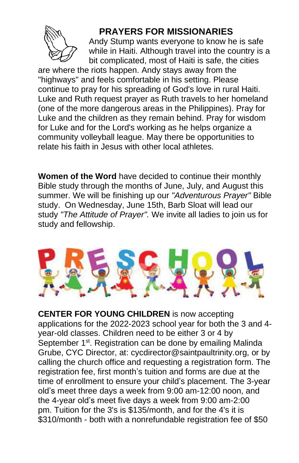

## **PRAYERS FOR MISSIONARIES**

Andy Stump wants everyone to know he is safe while in Haiti. Although travel into the country is a bit complicated, most of Haiti is safe, the cities

are where the riots happen. Andy stays away from the "highways" and feels comfortable in his setting. Please continue to pray for his spreading of God's love in rural Haiti. Luke and Ruth request prayer as Ruth travels to her homeland (one of the more dangerous areas in the Philippines). Pray for Luke and the children as they remain behind. Pray for wisdom for Luke and for the Lord's working as he helps organize a community volleyball league. May there be opportunities to relate his faith in Jesus with other local athletes.

**Women of the Word** have decided to continue their monthly Bible study through the months of June, July, and August this summer. We will be finishing up our *"Adventurous Prayer"* Bible study. On Wednesday, June 15th, Barb Sloat will lead our study *"The Attitude of Prayer".* We invite all ladies to join us for study and fellowship.



**CENTER FOR YOUNG CHILDREN** is now accepting applications for the 2022-2023 school year for both the 3 and 4 year-old classes. Children need to be either 3 or 4 by September 1<sup>st</sup>. Registration can be done by emailing Malinda Grube, CYC Director, at: cycdirector@saintpaultrinity.org, or by calling the church office and requesting a registration form. The registration fee, first month's tuition and forms are due at the time of enrollment to ensure your child's placement. The 3-year old's meet three days a week from 9:00 am-12:00 noon, and the 4-year old's meet five days a week from 9:00 am-2:00 pm. Tuition for the 3's is \$135/month, and for the 4's it is \$310/month - both with a nonrefundable registration fee of \$50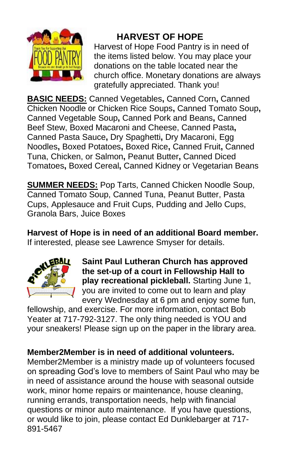

# **HARVEST OF HOPE**

Harvest of Hope Food Pantry is in need of the items listed below. You may place your donations on the table located near the church office. Monetary donations are always gratefully appreciated. Thank you!

**BASIC NEEDS:** Canned Vegetables**,** Canned Corn**,** Canned Chicken Noodle or Chicken Rice Soups**,** Canned Tomato Soup**,**  Canned Vegetable Soup**,** Canned Pork and Beans**,** Canned Beef Stew, Boxed Macaroni and Cheese, Canned Pasta**,**  Canned Pasta Sauce**,** Dry Spaghetti**,** Dry Macaroni, Egg Noodles**,** Boxed Potatoes**,** Boxed Rice**,** Canned Fruit**,** Canned Tuna, Chicken, or Salmon**,** Peanut Butter**,** Canned Diced Tomatoes**,** Boxed Cereal**,** Canned Kidney or Vegetarian Beans

**SUMMER NEEDS:** Pop Tarts, Canned Chicken Noodle Soup, Canned Tomato Soup, Canned Tuna, Peanut Butter, Pasta Cups, Applesauce and Fruit Cups, Pudding and Jello Cups, Granola Bars, Juice Boxes

**Harvest of Hope is in need of an additional Board member.** If interested, please see Lawrence Smyser for details.



**Saint Paul Lutheran Church has approved the set-up of a court in Fellowship Hall to play recreational pickleball.** Starting June 1, you are invited to come out to learn and play every Wednesday at 6 pm and enjoy some fun,

fellowship, and exercise. For more information, contact Bob Yeater at 717-792-3127. The only thing needed is YOU and your sneakers! Please sign up on the paper in the library area.

## **Member2Member is in need of additional volunteers.**

Member2Member is a ministry made up of volunteers focused on spreading God's love to members of Saint Paul who may be in need of assistance around the house with seasonal outside work, minor home repairs or maintenance, house cleaning, running errands, transportation needs, help with financial questions or minor auto maintenance. If you have questions, or would like to join, please contact Ed Dunklebarger at 717- 891-5467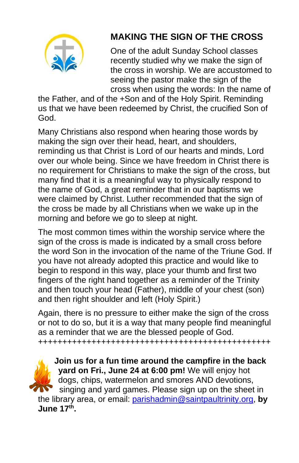

# **MAKING THE SIGN OF THE CROSS**

One of the adult Sunday School classes recently studied why we make the sign of the cross in worship. We are accustomed to seeing the pastor make the sign of the cross when using the words: In the name of

the Father, and of the +Son and of the Holy Spirit. Reminding us that we have been redeemed by Christ, the crucified Son of God.

Many Christians also respond when hearing those words by making the sign over their head, heart, and shoulders, reminding us that Christ is Lord of our hearts and minds, Lord over our whole being. Since we have freedom in Christ there is no requirement for Christians to make the sign of the cross, but many find that it is a meaningful way to physically respond to the name of God, a great reminder that in our baptisms we were claimed by Christ. Luther recommended that the sign of the cross be made by all Christians when we wake up in the morning and before we go to sleep at night.

The most common times within the worship service where the sign of the cross is made is indicated by a small cross before the word Son in the invocation of the name of the Triune God. If you have not already adopted this practice and would like to begin to respond in this way, place your thumb and first two fingers of the right hand together as a reminder of the Trinity and then touch your head (Father), middle of your chest (son) and then right shoulder and left (Holy Spirit.)

Again, there is no pressure to either make the sign of the cross or not to do so, but it is a way that many people find meaningful as a reminder that we are the blessed people of God. ++++++++++++++++++++++++++++++++++++++++++++++++

**Join us for a fun time around the campfire in the back yard on Fri., June 24 at 6:00 pm!** We will enjoy hot dogs, chips, watermelon and smores AND devotions, singing and yard games. Please sign up on the sheet in the library area, or email: [parishadmin@saintpaultrinity.org,](mailto:parishadmin@saintpaultrinity.org) **by June 17th .**